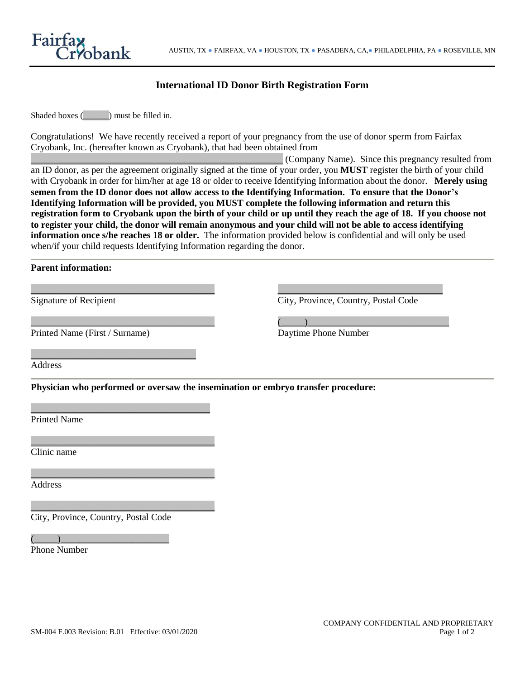

## **International ID Donor Birth Registration Form**

Shaded boxes ( $\Box$ ) must be filled in.

Congratulations! We have recently received a report of your pregnancy from the use of donor sperm from Fairfax Cryobank, Inc. (hereafter known as Cryobank), that had been obtained from

\_\_\_\_\_\_\_\_\_\_\_\_\_\_\_\_\_\_\_\_\_\_\_\_\_\_\_\_\_\_\_\_\_\_\_\_\_\_\_\_\_\_\_\_\_\_\_\_\_ (Company Name). Since this pregnancy resulted from an ID donor, as per the agreement originally signed at the time of your order, you **MUST** register the birth of your child with Cryobank in order for him/her at age 18 or older to receive Identifying Information about the donor. **Merely using semen from the ID donor does not allow access to the Identifying Information. To ensure that the Donor's Identifying Information will be provided, you MUST complete the following information and return this registration form to Cryobank upon the birth of your child or up until they reach the age of 18. If you choose not to register your child, the donor will remain anonymous and your child will not be able to access identifying information once s/he reaches 18 or older.** The information provided below is confidential and will only be used when/if your child requests Identifying Information regarding the donor.

**Parent information:**

| <b>Signature of Recipient</b>                                                     | City, Province, Country, Postal Code |  |  |
|-----------------------------------------------------------------------------------|--------------------------------------|--|--|
| Printed Name (First / Surname)                                                    | Daytime Phone Number                 |  |  |
| Address                                                                           |                                      |  |  |
| Physician who performed or oversaw the insemination or embryo transfer procedure: |                                      |  |  |
| <b>Printed Name</b>                                                               |                                      |  |  |
| Clinic name                                                                       |                                      |  |  |
| Address                                                                           |                                      |  |  |
|                                                                                   |                                      |  |  |

City, Province, Country, Postal Code

 $\overline{(\hspace{.1cm}\cdot\hspace{.1cm} \cdot \hspace{.1cm} \cdot \hspace{.1cm} \cdot \hspace{.1cm} \cdot \hspace{.1cm} \cdot \hspace{.1cm} \cdot \hspace{.1cm} \cdot \hspace{.1cm} \cdot \hspace{.1cm} \cdot \hspace{.1cm} \cdot \hspace{.1cm} \cdot \hspace{.1cm} \cdot \hspace{.1cm} \cdot \hspace{.1cm} \cdot \hspace{.1cm} \cdot \hspace{.1cm} \cdot \hspace{.1cm} \cdot \hspace{.1cm} \cdot \hspace{.1cm} \cdot \hspace{.1cm} \cdot \hspace{.1cm$ Phone Number